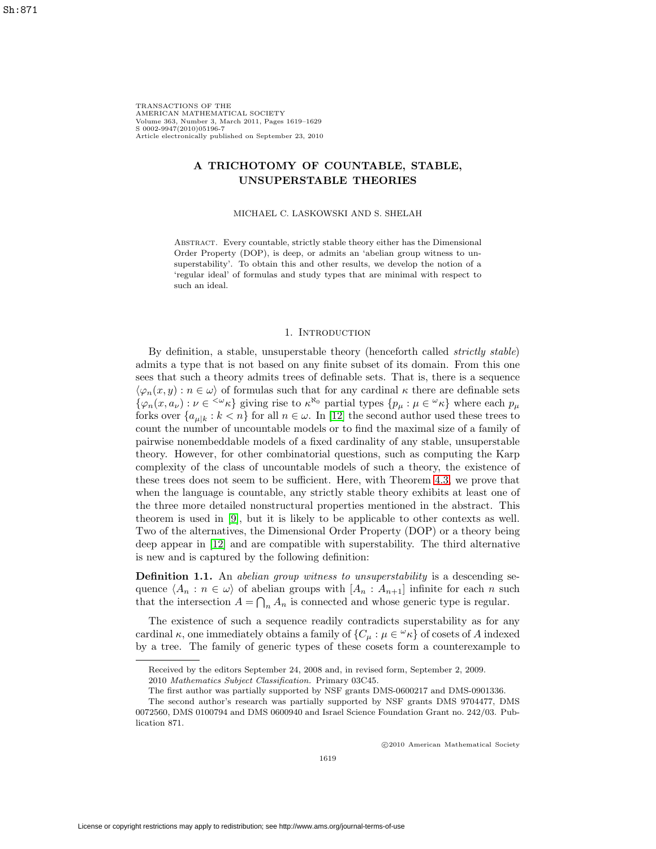TRANSACTIONS OF THE AMERICAN MATHEMATICAL SOCIETY Volume 363, Number 3, March 2011, Pages 1619–1629 S 0002-9947(2010)05196-7 Article electronically published on September 23, 2010

## **A TRICHOTOMY OF COUNTABLE, STABLE, UNSUPERSTABLE THEORIES**

MICHAEL C. LASKOWSKI AND S. SHELAH

Abstract. Every countable, strictly stable theory either has the Dimensional Order Property (DOP), is deep, or admits an 'abelian group witness to unsuperstability'. To obtain this and other results, we develop the notion of a 'regular ideal' of formulas and study types that are minimal with respect to such an ideal.

### 1. INTRODUCTION

By definition, a stable, unsuperstable theory (henceforth called strictly stable) admits a type that is not based on any finite subset of its domain. From this one sees that such a theory admits trees of definable sets. That is, there is a sequence  $\langle \varphi_n(x,y) : n \in \omega \rangle$  of formulas such that for any cardinal  $\kappa$  there are definable sets  $\{\varphi_n(x, a_\nu): \nu \in \{x \cdot \nu_k\} \text{ giving rise to } \kappa^{\aleph_0} \text{ partial types } \{p_\mu : \mu \in \mathcal{L}_k\} \text{ where each } p_\mu \text{ and } p_\mu \text{ is the same.} \}$ forks over  $\{a_{\mu k} : k < n\}$  for all  $n \in \omega$ . In [\[12\]](#page-10-0) the second author used these trees to count the number of uncountable models or to find the maximal size of a family of pairwise nonembeddable models of a fixed cardinality of any stable, unsuperstable theory. However, for other combinatorial questions, such as computing the Karp complexity of the class of uncountable models of such a theory, the existence of these trees does not seem to be sufficient. Here, with Theorem [4.3,](#page-8-0) we prove that when the language is countable, any strictly stable theory exhibits at least one of the three more detailed nonstructural properties mentioned in the abstract. This theorem is used in [\[9\]](#page-9-0), but it is likely to be applicable to other contexts as well. Two of the alternatives, the Dimensional Order Property (DOP) or a theory being deep appear in [\[12\]](#page-10-0) and are compatible with superstability. The third alternative is new and is captured by the following definition:

<span id="page-0-0"></span>**Definition 1.1.** An *abelian group witness to unsuperstability* is a descending sequence  $\langle A_n : n \in \omega \rangle$  of abelian groups with  $[A_n : A_{n+1}]$  infinite for each n such that the intersection  $A = \bigcap_n A_n$  is connected and whose generic type is regular.

The existence of such a sequence readily contradicts superstability as for any cardinal  $\kappa$ , one immediately obtains a family of  $\{C_\mu : \mu \in \mathcal{L}\kappa\}$  of cosets of A indexed by a tree. The family of generic types of these cosets form a counterexample to

-c 2010 American Mathematical Society

Received by the editors September 24, 2008 and, in revised form, September 2, 2009. 2010 Mathematics Subject Classification. Primary 03C45.

The first author was partially supported by NSF grants DMS-0600217 and DMS-0901336.

The second author's research was partially supported by NSF grants DMS 9704477, DMS 0072560, DMS 0100794 and DMS 0600940 and Israel Science Foundation Grant no. 242/03. Publication 871.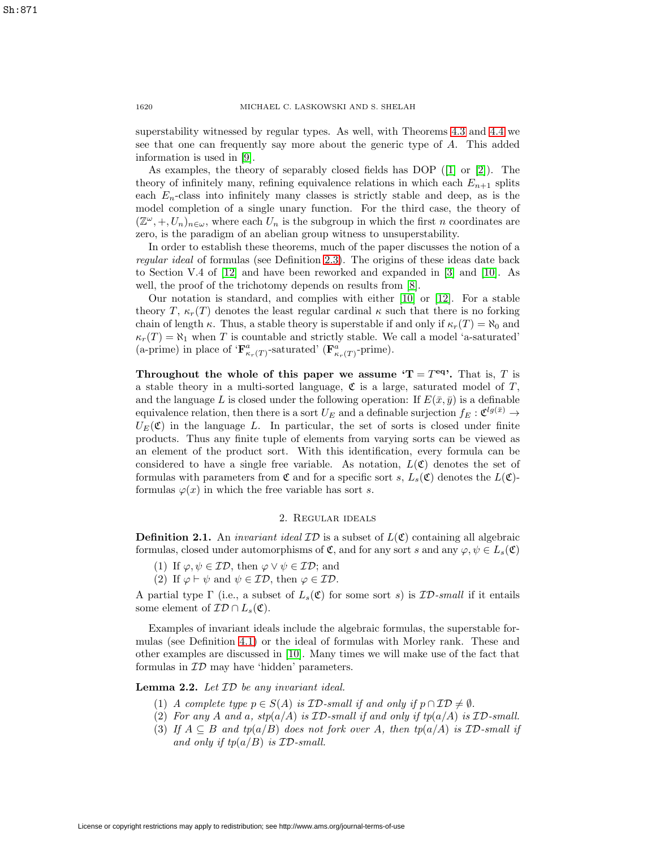superstability witnessed by regular types. As well, with Theorems [4.3](#page-8-0) and [4.4](#page-9-1) we see that one can frequently say more about the generic type of A. This added information is used in [\[9\]](#page-9-0).

As examples, the theory of separably closed fields has DOP ([\[1\]](#page-9-2) or [\[2\]](#page-9-3)). The theory of infinitely many, refining equivalence relations in which each  $E_{n+1}$  splits each  $E_n$ -class into infinitely many classes is strictly stable and deep, as is the model completion of a single unary function. For the third case, the theory of  $(\mathbb{Z}^{\omega}, +, U_n)_{n \in \omega}$ , where each  $U_n$  is the subgroup in which the first n coordinates are zero, is the paradigm of an abelian group witness to unsuperstability.

In order to establish these theorems, much of the paper discusses the notion of a regular ideal of formulas (see Definition [2.3\)](#page-2-0). The origins of these ideas date back to Section V.4 of [\[12\]](#page-10-0) and have been reworked and expanded in [\[3\]](#page-9-4) and [\[10\]](#page-9-5). As well, the proof of the trichotomy depends on results from  $[8]$ .

Our notation is standard, and complies with either [\[10\]](#page-9-5) or [\[12\]](#page-10-0). For a stable theory T,  $\kappa_r(T)$  denotes the least regular cardinal  $\kappa$  such that there is no forking chain of length  $\kappa$ . Thus, a stable theory is superstable if and only if  $\kappa_r(T) = \aleph_0$  and  $\kappa_r(T) = \aleph_1$  when T is countable and strictly stable. We call a model 'a-saturated' (a-prime) in place of  $\mathbf{F}^a_{\kappa_r(T)}$ -saturated' ( $\mathbf{F}^a_{\kappa_r(T)}$ -prime).

**Throughout the whole of this paper we assume**  $T = T^{eq}$ **.** That is, T is a stable theory in a multi-sorted language,  $\mathfrak C$  is a large, saturated model of  $T$ , and the language L is closed under the following operation: If  $E(\bar{x}, \bar{y})$  is a definable equivalence relation, then there is a sort  $U_E$  and a definable surjection  $f_E: \mathfrak{C}^{lg(\bar{x})} \to$  $U_F(\mathfrak{C})$  in the language L. In particular, the set of sorts is closed under finite products. Thus any finite tuple of elements from varying sorts can be viewed as an element of the product sort. With this identification, every formula can be considered to have a single free variable. As notation,  $L(\mathfrak{C})$  denotes the set of formulas with parameters from  $\mathfrak C$  and for a specific sort s,  $L_s(\mathfrak C)$  denotes the  $L(\mathfrak C)$ formulas  $\varphi(x)$  in which the free variable has sort s.

## 2. Regular ideals

**Definition 2.1.** An *invariant ideal*  $\mathcal{ID}$  is a subset of  $L(\mathfrak{C})$  containing all algebraic formulas, closed under automorphisms of  $\mathfrak{C}$ , and for any sort s and any  $\varphi, \psi \in L_{s}(\mathfrak{C})$ 

- (1) If  $\varphi, \psi \in \mathcal{ID}$ , then  $\varphi \vee \psi \in \mathcal{ID}$ ; and
- (2) If  $\varphi \vdash \psi$  and  $\psi \in \mathcal{ID}$ , then  $\varphi \in \mathcal{ID}$ .

A partial type  $\Gamma$  (i.e., a subset of  $L_s(\mathfrak{C})$  for some sort s) is  $\mathcal{ID}\text{-small}$  if it entails some element of  $\mathcal{ID} \cap L_s(\mathfrak{C})$ .

Examples of invariant ideals include the algebraic formulas, the superstable formulas (see Definition [4.1\)](#page-7-0) or the ideal of formulas with Morley rank. These and other examples are discussed in [\[10\]](#page-9-5). Many times we will make use of the fact that formulas in  $ID$  may have 'hidden' parameters.

<span id="page-1-0"></span>**Lemma 2.2.** Let ID be any invariant ideal.

- (1) A complete type  $p \in S(A)$  is  $ID$ -small if and only if  $p \cap \mathcal{ID} \neq \emptyset$ .
- (2) For any A and a,  $stp(a/A)$  is  $ID$ -small if and only if  $tp(a/A)$  is  $ID$ -small.
- (3) If  $A \subseteq B$  and tp(a/B) does not fork over A, then tp(a/A) is ID-small if and only if  $tp(a/B)$  is  $ID$ -small.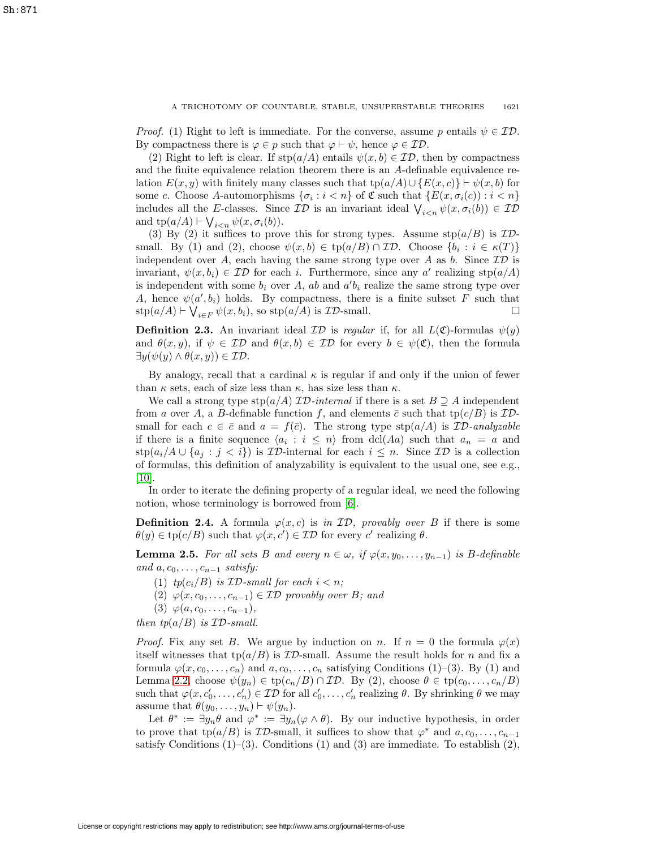*Proof.* (1) Right to left is immediate. For the converse, assume p entails  $\psi \in \mathcal{ID}$ . By compactness there is  $\varphi \in p$  such that  $\varphi \vdash \psi$ , hence  $\varphi \in \mathcal{ID}$ .

(2) Right to left is clear. If  $\text{stp}(a/A)$  entails  $\psi(x, b) \in \mathcal{ID}$ , then by compactness and the finite equivalence relation theorem there is an A-definable equivalence relation  $E(x, y)$  with finitely many classes such that tp( $a/A$ )∪ { $E(x, c)$ }  $\vdash \psi(x, b)$  for some c. Choose A-automorphisms  $\{\sigma_i : i < n\}$  of C such that  $\{E(x, \sigma_i(c)) : i < n\}$ includes all the E-classes. Since  $\mathcal{ID}$  is an invariant ideal  $\bigvee_{i\leq n}\psi(x,\sigma_i(b))\in \mathcal{ID}$ and  $\text{tp}(a/A) \vdash \bigvee_{i$ 

(3) By (2) it suffices to prove this for strong types. Assume  $\text{stp}(a/B)$  is  $ID$ small. By (1) and (2), choose  $\psi(x, b) \in \text{tp}(a/B) \cap \mathcal{ID}$ . Choose  $\{b_i : i \in \kappa(T)\}\$ independent over A, each having the same strong type over A as b. Since  $ID$  is invariant,  $\psi(x, b_i) \in \mathcal{ID}$  for each i. Furthermore, since any a' realizing stp( $a/A$ ) is independent with some  $b_i$  over A, ab and  $a'b_i$  realize the same strong type over A, hence  $\psi(a', b_i)$  holds. By compactness, there is a finite subset F such that  $\text{stp}(a/A) \vdash \bigvee_{i \in F} \psi(x, b_i)$ , so  $\text{stp}(a/A)$  is  $\mathcal{ID}\text{-small.}$ 

<span id="page-2-0"></span>**Definition 2.3.** An invariant ideal  $\mathcal{ID}$  is regular if, for all  $L(\mathfrak{C})$ -formulas  $\psi(y)$ and  $\theta(x, y)$ , if  $\psi \in \mathcal{ID}$  and  $\theta(x, b) \in \mathcal{ID}$  for every  $b \in \psi(\mathfrak{C})$ , then the formula  $\exists y(\psi(y) \land \theta(x, y)) \in \mathcal{ID}.$ 

By analogy, recall that a cardinal  $\kappa$  is regular if and only if the union of fewer than  $\kappa$  sets, each of size less than  $\kappa$ , has size less than  $\kappa$ .

We call a strong type  $\text{stp}(a/A)$  ID-internal if there is a set  $B \supseteq A$  independent from a over A, a B-definable function f, and elements  $\bar{c}$  such that tp( $c/B$ ) is IDsmall for each  $c \in \bar{c}$  and  $a = f(\bar{c})$ . The strong type stp( $a/A$ ) is  $\mathcal{ID}\text{-}analyzable$ if there is a finite sequence  $\langle a_i : i \leq n \rangle$  from dcl(Aa) such that  $a_n = a$  and  $\text{stp}(a_i/A \cup \{a_j : j < i\})$  is ID-internal for each  $i \leq n$ . Since ID is a collection of formulas, this definition of analyzability is equivalent to the usual one, see e.g., [\[10\]](#page-9-5).

In order to iterate the defining property of a regular ideal, we need the following notion, whose terminology is borrowed from [\[6\]](#page-9-7).

**Definition 2.4.** A formula  $\varphi(x, c)$  is in  $\mathcal{ID}$ , provably over B if there is some  $\theta(y) \in \text{tp}(c/B)$  such that  $\varphi(x, c') \in \mathcal{ID}$  for every c' realizing  $\theta$ .

<span id="page-2-1"></span>**Lemma 2.5.** For all sets B and every  $n \in \omega$ , if  $\varphi(x, y_0, \ldots, y_{n-1})$  is B-definable and  $a, c_0, \ldots, c_{n-1}$  satisfy:

- (1)  $tp(c_i/B)$  is  $ID\text{-}small$  for each  $i < n$ ;
- (2)  $\varphi(x, c_0, \ldots, c_{n-1}) \in \mathcal{ID}$  provably over B; and
- (3)  $\varphi(a, c_0, \ldots, c_{n-1}),$

then  $tp(a/B)$  is  $ID$ -small.

*Proof.* Fix any set B. We argue by induction on n. If  $n = 0$  the formula  $\varphi(x)$ itself witnesses that  $tp(a/B)$  is  $ID$ -small. Assume the result holds for n and fix a formula  $\varphi(x, c_0, \ldots, c_n)$  and  $a, c_0, \ldots, c_n$  satisfying Conditions (1)–(3). By (1) and Lemma [2.2,](#page-1-0) choose  $\psi(y_n) \in \text{tp}(c_n/B) \cap \mathcal{ID}$ . By (2), choose  $\theta \in \text{tp}(c_0,\ldots,c_n/B)$ such that  $\varphi(x, c'_0, \ldots, c'_n) \in \mathcal{ID}$  for all  $c'_0, \ldots, c'_n$  realizing  $\theta$ . By shrinking  $\theta$  we may assume that  $\theta(y_0,\ldots,y_n) \vdash \psi(y_n)$ .

Let  $\theta^* := \exists y_n \theta$  and  $\varphi^* := \exists y_n (\varphi \wedge \theta)$ . By our inductive hypothesis, in order to prove that tp( $a/B$ ) is  $\mathcal{ID}$ -small, it suffices to show that  $\varphi^*$  and  $a, c_0, \ldots, c_{n-1}$ satisfy Conditions  $(1)$ – $(3)$ . Conditions  $(1)$  and  $(3)$  are immediate. To establish  $(2)$ ,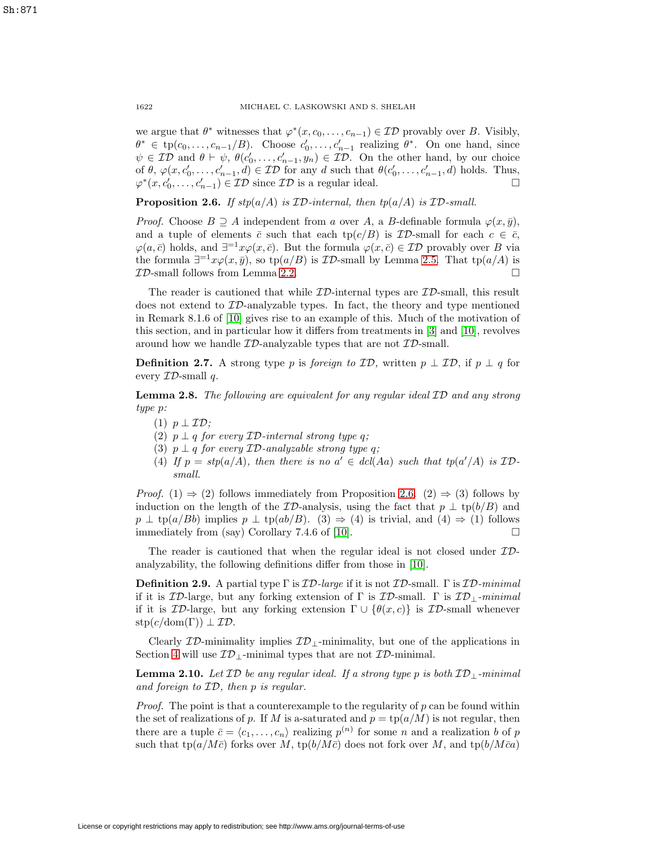we argue that  $\theta^*$  witnesses that  $\varphi^*(x, c_0, \ldots, c_{n-1}) \in \mathcal{ID}$  provably over B. Visibly,  $\theta^* \in \text{tp}(c_0, \ldots, c_{n-1}/B)$ . Choose  $c'_0, \ldots, c'_{n-1}$  realizing  $\theta^*$ . On one hand, since  $\psi \in \mathcal{ID}$  and  $\theta \vdash \psi$ ,  $\theta(c'_0, \ldots, c'_{n-1}, y_n) \in \mathcal{ID}$ . On the other hand, by our choice of  $\theta$ ,  $\varphi(x, c'_0, \ldots, c'_{n-1}, d) \in \mathcal{ID}$  for any d such that  $\theta(c'_0, \ldots, c'_{n-1}, d)$  holds. Thus,  $\varphi^*(x, c'_0, \ldots, c'_{n-1}) \in \mathcal{ID}$  since  $\mathcal{ID}$  is a regular ideal.  $\Box$  $\Box$ 

<span id="page-3-0"></span>**Proposition 2.6.** If  $stp(a/A)$  is  $ID$ -internal, then  $tp(a/A)$  is  $ID$ -small.

*Proof.* Choose  $B \supseteq A$  independent from a over A, a B-definable formula  $\varphi(x, \bar{y})$ , and a tuple of elements  $\bar{c}$  such that each tp( $c/B$ ) is ID-small for each  $c \in \bar{c}$ ,  $\varphi(a,\bar{c})$  holds, and  $\exists^{-1}x\varphi(x,\bar{c})$ . But the formula  $\varphi(x,\bar{c})\in\mathcal{ID}$  provably over B via the formula  $\exists^{-1}x\varphi(x,\bar{y})$ , so tp(a/B) is  $\mathcal{ID}$ -small by Lemma [2.5.](#page-2-1) That tp(a/A) is  $ID$ -small follows from Lemma [2.2.](#page-1-0)  $\Box$ 

The reader is cautioned that while  $ID$ -internal types are  $ID$ -small, this result does not extend to  $ID$ -analyzable types. In fact, the theory and type mentioned in Remark 8.1.6 of [\[10\]](#page-9-5) gives rise to an example of this. Much of the motivation of this section, and in particular how it differs from treatments in [\[3\]](#page-9-4) and [\[10\]](#page-9-5), revolves around how we handle  $ID$ -analyzable types that are not  $ID$ -small.

**Definition 2.7.** A strong type p is foreign to  $\mathcal{ID}$ , written  $p \perp \mathcal{ID}$ , if  $p \perp q$  for every  $ID$ -small q.

<span id="page-3-1"></span>**Lemma 2.8.** The following are equivalent for any regular ideal ID and any strong type p:

- (1)  $p \perp \mathcal{ID};$
- (2)  $p \perp q$  for every  $ID$ -internal strong type q;
- (3)  $p \perp q$  for every  $ID$ -analyzable strong type q;
- (4) If  $p = \text{stp}(a/A)$ , then there is no  $a' \in \text{dcl}(Aa)$  such that  $\text{tp}(a'/A)$  is IDsmall.

*Proof.* (1)  $\Rightarrow$  (2) follows immediately from Proposition [2.6.](#page-3-0) (2)  $\Rightarrow$  (3) follows by induction on the length of the ID-analysis, using the fact that  $p \perp \text{tp}(b/B)$  and  $p \perp \text{tp}(a/Bb)$  implies  $p \perp \text{tp}(ab/B)$ . (3)  $\Rightarrow$  (4) is trivial, and (4)  $\Rightarrow$  (1) follows immediately from (say) Corollary 7.4.6 of [\[10\]](#page-9-5).  $\Box$ 

The reader is cautioned that when the regular ideal is not closed under  $ID$ analyzability, the following definitions differ from those in [\[10\]](#page-9-5).

**Definition 2.9.** A partial type  $\Gamma$  is  $\mathcal{ID}$ -large if it is not  $\mathcal{ID}$ -small.  $\Gamma$  is  $\mathcal{ID}$ -minimal if it is  $\mathcal{ID}\text{-}large$ , but any forking extension of  $\Gamma$  is  $\mathcal{ID}\text{-}small$ .  $\Gamma$  is  $\mathcal{ID}\text{-}minimal$ if it is  $\mathcal{ID}\text{-large}$ , but any forking extension  $\Gamma \cup \{\theta(x,c)\}\$ is  $\mathcal{ID}\text{-small}$  whenever  $\text{stp}(c/\text{dom}(\Gamma)) \perp \mathcal{ID}.$ 

<span id="page-3-2"></span>Clearly  $\mathcal{ID}\text{-minimality}$  implies  $\mathcal{ID}\text{-minimality}$ , but one of the applications in Section [4](#page-7-1) will use  $\mathcal{ID}_{\perp}$ -minimal types that are not  $\mathcal{ID}$ -minimal.

**Lemma 2.10.** Let  $\mathcal{ID}$  be any regular ideal. If a strong type p is both  $\mathcal{ID}_\perp$ -minimal and foreign to ID, then p is regular.

*Proof.* The point is that a counterexample to the regularity of  $p$  can be found within the set of realizations of p. If M is a-saturated and  $p = \text{tp}(a/M)$  is not regular, then there are a tuple  $\bar{c} = \langle c_1, \ldots, c_n \rangle$  realizing  $p^{(n)}$  for some n and a realization b of p such that tp( $a/M\bar{c}$ ) forks over M, tp( $b/M\bar{c}$ ) does not fork over M, and tp( $b/M\bar{c}a$ )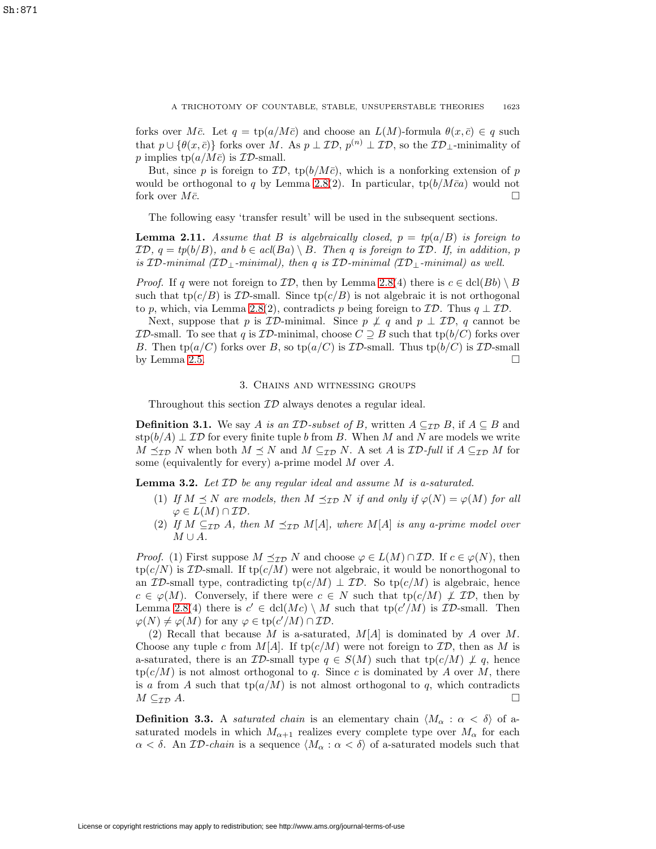forks over  $M\bar{c}$ . Let  $q = \text{tp}(a/M\bar{c})$  and choose an  $L(M)$ -formula  $\theta(x, \bar{c}) \in q$  such that  $p \cup \{\theta(x,\bar{c})\}$  forks over M. As  $p \perp \mathcal{ID}, p^{(n)} \perp \mathcal{ID},$  so the  $\mathcal{ID}_\perp$ -minimality of p implies  $tp(a/M\bar{c})$  is  $ID$ -small.

But, since p is foreign to  $\mathcal{ID}$ , tp( $b/M\bar{c}$ ), which is a nonforking extension of p would be orthogonal to q by Lemma [2.8\(](#page-3-1)2). In particular,  $tp(b/M\bar{c}a)$  would not fork over  $M\bar{c}$ .

The following easy 'transfer result' will be used in the subsequent sections.

<span id="page-4-1"></span>**Lemma 2.11.** Assume that B is algebraically closed,  $p = tp(a/B)$  is foreign to  $\mathcal{ID}, q = tp(b/B), and b \in acl(Ba) \setminus B$ . Then q is foreign to  $\mathcal{ID}.$  If, in addition, p is ID-minimal  $(ID_{\perp}\text{-minimal})$ , then q is ID-minimal  $(ID_{\perp}\text{-minimal})$  as well.

*Proof.* If q were not foreign to  $\mathcal{ID}$ , then by Lemma [2.8\(](#page-3-1)4) there is  $c \in \text{dcl}(Bb) \setminus B$ such that tp( $c/B$ ) is  $ID$ -small. Since tp( $c/B$ ) is not algebraic it is not orthogonal to p, which, via Lemma [2.8\(](#page-3-1)2), contradicts p being foreign to  $\mathcal{ID}$ . Thus  $q \perp \mathcal{ID}$ .

Next, suppose that p is  $ID$ -minimal. Since  $p \not\perp q$  and  $p \perp ID$ , q cannot be **ID-small.** To see that q is **ID-minimal**, choose  $C \supseteq B$  such that  $tp(b/C)$  forks over B. Then tp( $a/C$ ) forks over B, so tp( $a/C$ ) is  $ID$ -small. Thus tp( $b/C$ ) is  $ID$ -small by Lemma  $2.5$ .  $\Box$ 

## 3. Chains and witnessing groups

Throughout this section  $ID$  always denotes a regular ideal.

**Definition 3.1.** We say A is an ID-subset of B, written  $A \subseteq_{ID} B$ , if  $A \subseteq B$  and  $\text{stp}(b/A) \perp \mathcal{ID}$  for every finite tuple b from B. When M and N are models we write  $M \preceq_{\mathcal{ID}} N$  when both  $M \preceq N$  and  $M \subseteq_{\mathcal{ID}} N$ . A set A is  $\mathcal{ID}\text{-}full$  if  $A \subseteq_{\mathcal{ID}} M$  for some (equivalently for every) a-prime model M over A.

<span id="page-4-0"></span>**Lemma 3.2.** Let ID be any regular ideal and assume M is a-saturated.

- (1) If  $M \preceq N$  are models, then  $M \preceq_{\mathcal{ID}} N$  if and only if  $\varphi(N) = \varphi(M)$  for all  $\varphi \in L(M) \cap \mathcal{ID}.$
- (2) If  $M \subseteq_{\mathcal{ID}} A$ , then  $M \preceq_{\mathcal{ID}} M[A]$ , where  $M[A]$  is any a-prime model over  $M \cup A$ .

*Proof.* (1) First suppose  $M \preceq_{\mathcal{ID}} N$  and choose  $\varphi \in L(M) \cap \mathcal{ID}$ . If  $c \in \varphi(N)$ , then  $tp(c/N)$  is  $ID$ -small. If  $tp(c/M)$  were not algebraic, it would be nonorthogonal to an  $\mathcal{ID}$ -small type, contradicting tp( $c/M$ )  $\perp$   $\mathcal{ID}$ . So tp( $c/M$ ) is algebraic, hence  $c \in \varphi(M)$ . Conversely, if there were  $c \in N$  such that  $tp(c/M) \not\perp \mathcal{ID}$ , then by Lemma [2.8\(](#page-3-1)4) there is  $c' \in \text{dcl}(Mc) \setminus M$  such that  $\text{tp}(c'/M)$  is  $\mathcal{ID}\text{-small}$ . Then  $\varphi(N) \neq \varphi(M)$  for any  $\varphi \in \text{tp}(c'/M) \cap \mathcal{ID}$ .

(2) Recall that because M is a-saturated,  $M[A]$  is dominated by A over M. Choose any tuple c from  $M[A]$ . If tp(c/M) were not foreign to  $\mathcal{ID}$ , then as M is a-saturated, there is an  $\mathcal{ID}$ -small type  $q \in S(M)$  such that  $tp(c/M) \not\perp q$ , hence  $tp(c/M)$  is not almost orthogonal to q. Since c is dominated by A over M, there is a from A such that  $tp(a/M)$  is not almost orthogonal to q, which contradicts  $M \subseteq_{\mathcal{ID}} A.$ 

**Definition 3.3.** A saturated chain is an elementary chain  $\langle M_{\alpha} : \alpha < \delta \rangle$  of asaturated models in which  $M_{\alpha+1}$  realizes every complete type over  $M_{\alpha}$  for each  $\alpha < \delta$ . An ID-chain is a sequence  $\langle M_{\alpha} : \alpha < \delta \rangle$  of a-saturated models such that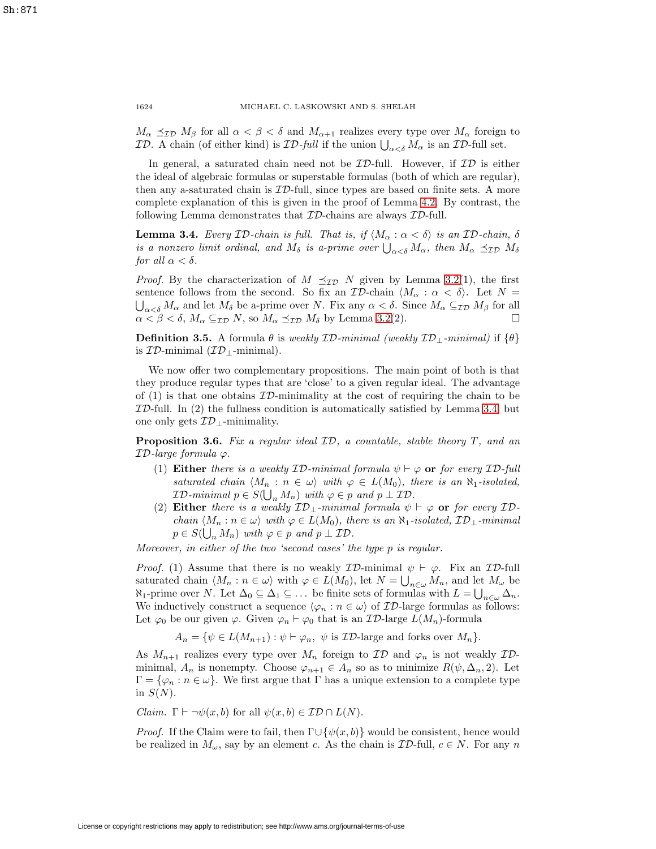$M_{\alpha} \preceq_{\mathcal{ID}} M_{\beta}$  for all  $\alpha < \beta < \delta$  and  $M_{\alpha+1}$  realizes every type over  $M_{\alpha}$  foreign to *ID.* A chain (of either kind) is *ID-full* if the union  $\bigcup_{\alpha < \delta} M_{\alpha}$  is an *ID-full set.* 

In general, a saturated chain need not be  $\mathcal{ID}\text{-full}$ . However, if  $\mathcal{ID}$  is either the ideal of algebraic formulas or superstable formulas (both of which are regular), then any a-saturated chain is ID-full, since types are based on finite sets. A more complete explanation of this is given in the proof of Lemma [4.2.](#page-7-2) By contrast, the following Lemma demonstrates that  $ID$ -chains are always  $ID$ -full.

<span id="page-5-0"></span>**Lemma 3.4.** Every ID-chain is full. That is, if  $\langle M_{\alpha} : \alpha < \delta \rangle$  is an ID-chain,  $\delta$ is a nonzero limit ordinal, and  $M_{\delta}$  is a-prime over  $\bigcup_{\alpha<\delta}M_{\alpha}$ , then  $M_{\alpha} \preceq_{\mathcal{ID}} M_{\delta}$ for all  $\alpha < \delta$ .

*Proof.* By the characterization of  $M \preceq_{\mathcal{ID}} N$  given by Lemma [3.2\(](#page-4-0)1), the first sentence follows from the second. So fix an  $\mathcal{ID}\text{-chain }\langle M_\alpha : \alpha < \delta \rangle$ . Let  $N =$  $\bigcup_{\alpha<\delta}M_{\alpha}$  and let  $M_{\delta}$  be a-prime over N. Fix any  $\alpha<\delta$ . Since  $M_{\alpha}\subseteq_{\mathcal{ID}}M_{\beta}$  for all  $\alpha < \beta < \delta$ ,  $M_{\alpha} \subseteq_{\mathcal{ID}} N$ , so  $M_{\alpha} \preceq_{\mathcal{ID}} M_{\delta}$  by Lemma [3.2\(](#page-4-0)2).

**Definition 3.5.** A formula  $\theta$  is weakly  $\mathcal{ID}\text{-minimal}$  (weakly  $\mathcal{ID}\text{-minimal}$ ) if  $\{\theta\}$ is  $ID$ -minimal  $(\mathcal{ID}_{\perp}\text{-minimal}).$ 

We now offer two complementary propositions. The main point of both is that they produce regular types that are 'close' to a given regular ideal. The advantage of  $(1)$  is that one obtains  $ID$ -minimality at the cost of requiring the chain to be  $ID$ -full. In (2) the fullness condition is automatically satisfied by Lemma [3.4,](#page-5-0) but one only gets  $ID_+$ -minimality.

<span id="page-5-1"></span>**Proposition 3.6.** Fix a regular ideal  $ID$ , a countable, stable theory  $T$ , and an  $ID$ -large formula  $\varphi$ .

- (1) **Either** there is a weakly  $ID\text{-}minimal$  formula  $\psi \vdash \varphi$  or for every  $ID\text{-}full$ saturated chain  $\langle M_n : n \in \omega \rangle$  with  $\varphi \in L(M_0)$ , there is an  $\aleph_1$ -isolated,  $\mathcal{ID}\text{-minimal }p\in S(\bigcup_n M_n)\text{ with }\varphi\in p\text{ and }p\perp\mathcal{ID}.$
- (2) **Either** there is a weakly  $ID_{\perp}$ -minimal formula  $\psi \vdash \varphi$  or for every IDchain  $\langle M_n : n \in \omega \rangle$  with  $\varphi \in L(M_0)$ , there is an  $\aleph_1$ -isolated,  $\mathcal{ID}_\perp$ -minimal  $p \in S(\bigcup_n M_n)$  with  $\varphi \in p$  and  $p \perp \mathcal{ID}$ .

Moreover, in either of the two 'second cases' the type p is regular.

*Proof.* (1) Assume that there is no weakly  $\mathcal{ID}\text{-minimal } \psi \vdash \varphi$ . Fix an  $\mathcal{ID}\text{-full}$ saturated chain  $\langle M_n : n \in \omega \rangle$  with  $\varphi \in L(M_0)$ , let  $N = \bigcup_{n \in \omega} M_n$ , and let  $M_\omega$  be  $\aleph_1$ -prime over N. Let  $\Delta_0 \subseteq \Delta_1 \subseteq \ldots$  be finite sets of formulas with  $L = \bigcup_{n \in \omega} \Delta_n$ . We inductively construct a sequence  $\langle \varphi_n : n \in \omega \rangle$  of  $\mathcal{ID}$ -large formulas as follows: Let  $\varphi_0$  be our given  $\varphi$ . Given  $\varphi_n \vdash \varphi_0$  that is an  $\mathcal{ID}\text{-large } L(M_n)\text{-formula}$ 

$$
A_n = \{ \psi \in L(M_{n+1}) : \psi \vdash \varphi_n, \psi \text{ is } \mathcal{ID}\text{-large and forks over } M_n \}.
$$

As  $M_{n+1}$  realizes every type over  $M_n$  foreign to  $\mathcal{ID}$  and  $\varphi_n$  is not weakly  $\mathcal{ID}$ minimal,  $A_n$  is nonempty. Choose  $\varphi_{n+1} \in A_n$  so as to minimize  $R(\psi, \Delta_n, 2)$ . Let  $\Gamma = \{\varphi_n : n \in \omega\}$ . We first argue that  $\Gamma$  has a unique extension to a complete type in  $S(N)$ .

*Claim.*  $\Gamma \vdash \neg \psi(x, b)$  for all  $\psi(x, b) \in \mathcal{ID} \cap L(N)$ .

*Proof.* If the Claim were to fail, then  $\Gamma \cup {\psi(x, b)}$  would be consistent, hence would be realized in  $M_{\omega}$ , say by an element c. As the chain is  $\mathcal{ID}\text{-full}$ ,  $c \in N$ . For any n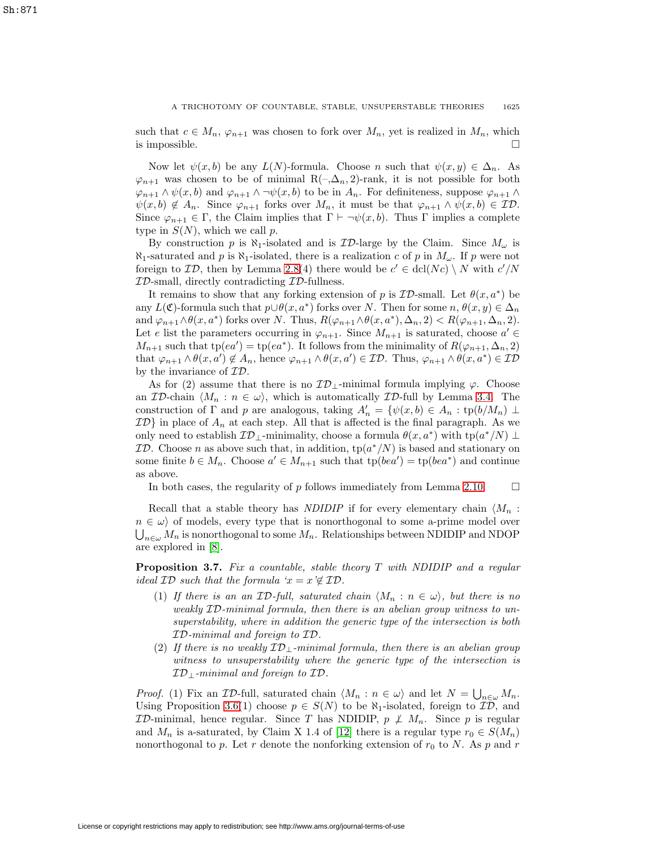such that  $c \in M_n$ ,  $\varphi_{n+1}$  was chosen to fork over  $M_n$ , yet is realized in  $M_n$ , which is impossible.  $\Box$ 

Now let  $\psi(x, b)$  be any  $L(N)$ -formula. Choose n such that  $\psi(x, y) \in \Delta_n$ . As  $\varphi_{n+1}$  was chosen to be of minimal R(-, $\Delta_n$ , 2)-rank, it is not possible for both  $\varphi_{n+1} \wedge \psi(x, b)$  and  $\varphi_{n+1} \wedge \neg \psi(x, b)$  to be in  $A_n$ . For definiteness, suppose  $\varphi_{n+1} \wedge \neg \psi(x, b)$  $\psi(x, b) \notin A_n$ . Since  $\varphi_{n+1}$  forks over  $M_n$ , it must be that  $\varphi_{n+1} \wedge \psi(x, b) \in \mathcal{ID}$ . Since  $\varphi_{n+1} \in \Gamma$ , the Claim implies that  $\Gamma \vdash \neg \psi(x, b)$ . Thus  $\Gamma$  implies a complete type in  $S(N)$ , which we call p.

By construction p is  $\aleph_1$ -isolated and is  $\mathcal{ID}$ -large by the Claim. Since  $M_\omega$  is  $\aleph_1$ -saturated and p is  $\aleph_1$ -isolated, there is a realization c of p in  $M_\omega$ . If p were not foreign to  $\mathcal{ID}$ , then by Lemma [2.8\(](#page-3-1)4) there would be  $c' \in \text{dcl}(Nc) \setminus N$  with  $c'/N$  $ID$ -small, directly contradicting  $ID$ -fullness.

It remains to show that any forking extension of p is  $\mathcal{ID}\text{-small}$ . Let  $\theta(x, a^*)$  be any  $L(\mathfrak{C})$ -formula such that  $p \cup \theta(x, a^*)$  forks over N. Then for some  $n, \theta(x, y) \in \Delta_n$ and  $\varphi_{n+1} \wedge \theta(x, a^*)$  forks over N. Thus,  $R(\varphi_{n+1} \wedge \theta(x, a^*), \Delta_n, 2) < R(\varphi_{n+1}, \Delta_n, 2)$ . Let e list the parameters occurring in  $\varphi_{n+1}$ . Since  $M_{n+1}$  is saturated, choose  $a' \in$  $M_{n+1}$  such that  $tp(ea') = tp(ea^*)$ . It follows from the minimality of  $R(\varphi_{n+1}, \Delta_n, 2)$ that  $\varphi_{n+1} \wedge \theta(x, a') \notin A_n$ , hence  $\varphi_{n+1} \wedge \theta(x, a') \in \mathcal{ID}$ . Thus,  $\varphi_{n+1} \wedge \theta(x, a^*) \in \mathcal{ID}$ by the invariance of ID.

As for (2) assume that there is no  $\mathcal{ID}_\perp$ -minimal formula implying  $\varphi$ . Choose an  $ID$ -chain  $\langle M_n : n \in \omega \rangle$ , which is automatically  $ID$ -full by Lemma [3.4.](#page-5-0) The construction of  $\Gamma$  and p are analogous, taking  $A'_n = \{ \psi(x, b) \in A_n : \text{tp}(b/M_n) \perp$  $ID$  in place of  $A_n$  at each step. All that is affected is the final paragraph. As we only need to establish  $\mathcal{ID}_\perp$ -minimality, choose a formula  $\theta(x, a^*)$  with tp $(a^*/N) \perp$ **ID.** Choose n as above such that, in addition,  $tp(a^*/N)$  is based and stationary on some finite  $b \in M_n$ . Choose  $a' \in M_{n+1}$  such that  $tp(bea') = tp(bea^*)$  and continue as above.

In both cases, the regularity of  $p$  follows immediately from Lemma [2.10.](#page-3-2)  $\Box$ 

Recall that a stable theory has *NDIDIP* if for every elementary chain  $\langle M_n :$  $n \in \omega$  of models, every type that is nonorthogonal to some a-prime model over  $\bigcup_{n\in\omega}M_n$  is nonorthogonal to some  $M_n$ . Relationships between NDIDIP and NDOP are explored in [\[8\]](#page-9-6).

<span id="page-6-0"></span>**Proposition 3.7.** Fix a countable, stable theory T with NDIDIP and a regular ideal  $\mathcal{ID}$  such that the formula ' $x = x \notin \mathcal{ID}$ .

- (1) If there is an an  $ID$ -full, saturated chain  $\langle M_n : n \in \omega \rangle$ , but there is no weakly ID-minimal formula, then there is an abelian group witness to unsuperstability, where in addition the generic type of the intersection is both ID-minimal and foreign to ID.
- (2) If there is no weakly  $ID_{\perp}$ -minimal formula, then there is an abelian group witness to unsuperstability where the generic type of the intersection is  $ID_{\perp}$ -minimal and foreign to  $ID$ .

*Proof.* (1) Fix an *ID*-full, saturated chain  $\langle M_n : n \in \omega \rangle$  and let  $N = \bigcup_{n \in \omega} M_n$ . Using Proposition [3.6\(](#page-5-1)1) choose  $p \in S(N)$  to be  $\aleph_1$ -isolated, foreign to  $\mathcal{ID}$ , and  $ID$ -minimal, hence regular. Since T has NDIDIP,  $p \not\perp M_n$ . Since p is regular and  $M_n$  is a-saturated, by Claim X 1.4 of [\[12\]](#page-10-0) there is a regular type  $r_0 \in S(M_n)$ nonorthogonal to p. Let r denote the nonforking extension of  $r_0$  to N. As p and r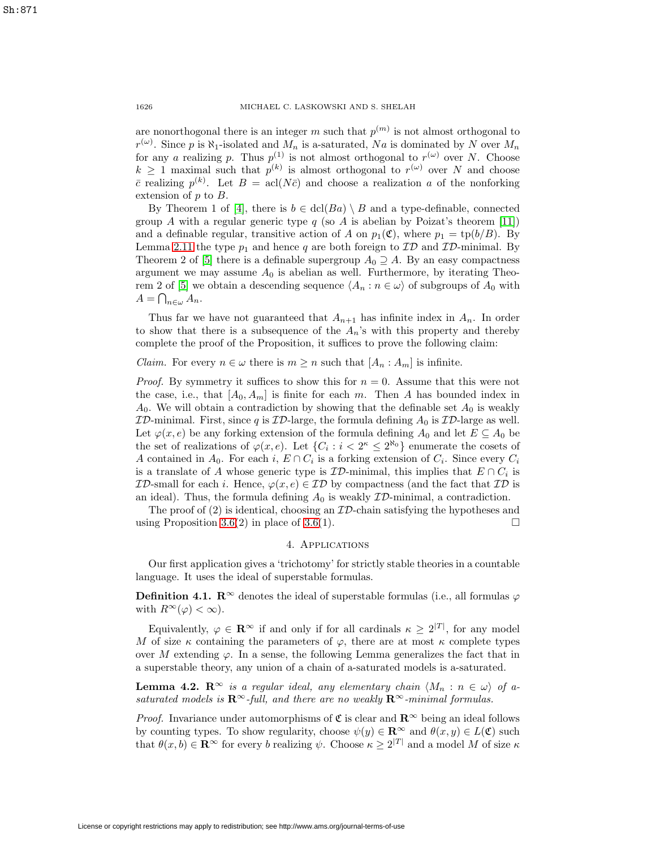are nonorthogonal there is an integer m such that  $p^{(m)}$  is not almost orthogonal to  $r^{(\omega)}$ . Since p is  $\aleph_1$ -isolated and  $M_n$  is a-saturated, Na is dominated by N over  $M_n$ for any a realizing p. Thus  $p^{(1)}$  is not almost orthogonal to  $r^{(\omega)}$  over N. Choose  $k \geq 1$  maximal such that  $p^{(k)}$  is almost orthogonal to  $r^{(\omega)}$  over N and choose  $\bar{c}$  realizing  $p^{(k)}$ . Let  $B = \text{acl}(N\bar{c})$  and choose a realization a of the nonforking extension of p to B.

By Theorem 1 of [\[4\]](#page-9-8), there is  $b \in \text{dcl}(Ba) \setminus B$  and a type-definable, connected group A with a regular generic type  $q$  (so A is abelian by Poizat's theorem [\[11\]](#page-10-1)) and a definable regular, transitive action of A on  $p_1(\mathfrak{C})$ , where  $p_1 = \text{tp}(b/B)$ . By Lemma [2.11](#page-4-1) the type  $p_1$  and hence q are both foreign to  $\mathcal{ID}$  and  $\mathcal{ID}$ -minimal. By Theorem 2 of [\[5\]](#page-9-9) there is a definable supergroup  $A_0 \supseteq A$ . By an easy compactness argument we may assume  $A_0$  is abelian as well. Furthermore, by iterating Theo-rem 2 of [\[5\]](#page-9-9) we obtain a descending sequence  $\langle A_n : n \in \omega \rangle$  of subgroups of  $A_0$  with  $A = \bigcap_{n \in \omega} A_n.$ 

Thus far we have not guaranteed that  $A_{n+1}$  has infinite index in  $A_n$ . In order to show that there is a subsequence of the  $A_n$ 's with this property and thereby complete the proof of the Proposition, it suffices to prove the following claim:

# *Claim.* For every  $n \in \omega$  there is  $m \geq n$  such that  $[A_n : A_m]$  is infinite.

*Proof.* By symmetry it suffices to show this for  $n = 0$ . Assume that this were not the case, i.e., that  $[A_0, A_m]$  is finite for each m. Then A has bounded index in  $A_0$ . We will obtain a contradiction by showing that the definable set  $A_0$  is weakly  $ID$ -minimal. First, since q is  $ID$ -large, the formula defining  $A_0$  is  $ID$ -large as well. Let  $\varphi(x, e)$  be any forking extension of the formula defining  $A_0$  and let  $E \subseteq A_0$  be the set of realizations of  $\varphi(x, e)$ . Let  $\{C_i : i < 2^{\kappa} \leq 2^{\aleph_0}\}\$ enumerate the cosets of A contained in  $A_0$ . For each i,  $E \cap C_i$  is a forking extension of  $C_i$ . Since every  $C_i$ is a translate of A whose generic type is  $ID$ -minimal, this implies that  $E \cap C_i$  is  $ID$ -small for each i. Hence,  $\varphi(x, e) \in \mathcal{ID}$  by compactness (and the fact that  $\mathcal{ID}$  is an ideal). Thus, the formula defining  $A_0$  is weakly  $ID$ -minimal, a contradiction.

<span id="page-7-1"></span>The proof of  $(2)$  is identical, choosing an  $ID$ -chain satisfying the hypotheses and using Proposition [3.6\(](#page-5-1)2) in place of 3.6(1).  $\Box$ 

### 4. Applications

<span id="page-7-0"></span>Our first application gives a 'trichotomy' for strictly stable theories in a countable language. It uses the ideal of superstable formulas.

**Definition 4.1.**  $\mathbb{R}^{\infty}$  denotes the ideal of superstable formulas (i.e., all formulas  $\varphi$ with  $R^{\infty}(\varphi) < \infty$ ).

Equivalently,  $\varphi \in \mathbf{R}^{\infty}$  if and only if for all cardinals  $\kappa \geq 2^{|T|}$ , for any model M of size  $\kappa$  containing the parameters of  $\varphi$ , there are at most  $\kappa$  complete types over M extending  $\varphi$ . In a sense, the following Lemma generalizes the fact that in a superstable theory, any union of a chain of a-saturated models is a-saturated.

<span id="page-7-2"></span>**Lemma 4.2.**  $\mathbb{R}^{\infty}$  is a regular ideal, any elementary chain  $\langle M_n : n \in \omega \rangle$  of asaturated models is  $\mathbb{R}^\infty$ -full, and there are no weakly  $\mathbb{R}^\infty$ -minimal formulas.

*Proof.* Invariance under automorphisms of  $\mathfrak{C}$  is clear and  $\mathbb{R}^{\infty}$  being an ideal follows by counting types. To show regularity, choose  $\psi(y) \in \mathbb{R}^{\infty}$  and  $\theta(x, y) \in L(\mathfrak{C})$  such that  $\theta(x, b) \in \mathbb{R}^{\infty}$  for every b realizing  $\psi$ . Choose  $\kappa \geq 2^{|T|}$  and a model M of size  $\kappa$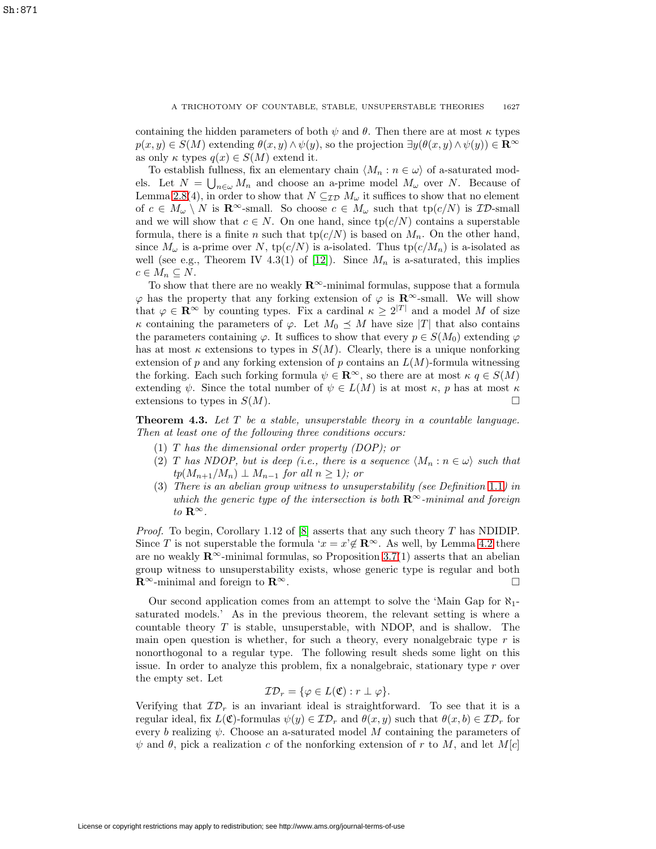containing the hidden parameters of both  $\psi$  and  $\theta$ . Then there are at most  $\kappa$  types  $p(x, y) \in S(M)$  extending  $\theta(x, y) \wedge \psi(y)$ , so the projection  $\exists y(\theta(x, y) \wedge \psi(y)) \in \mathbb{R}^{\infty}$ as only  $\kappa$  types  $q(x) \in S(M)$  extend it.

To establish fullness, fix an elementary chain  $\langle M_n : n \in \omega \rangle$  of a-saturated models. Let  $N = \bigcup_{n \in \omega} M_n$  and choose an a-prime model  $M_{\omega}$  over N. Because of Lemma [2.8\(](#page-3-1)4), in order to show that  $N \subseteq_{\mathcal{ID}} M_{\omega}$  it suffices to show that no element of  $c \in M_\omega \setminus N$  is  $\mathbf{R}^\infty$ -small. So choose  $c \in M_\omega$  such that  $tp(c/N)$  is  $\mathcal{ID}$ -small and we will show that  $c \in N$ . On one hand, since  $tp(c/N)$  contains a superstable formula, there is a finite n such that  $tp(c/N)$  is based on  $M_n$ . On the other hand, since  $M_{\omega}$  is a-prime over N, tp( $c/N$ ) is a-isolated. Thus tp( $c/M_n$ ) is a-isolated as well (see e.g., Theorem IV 4.3(1) of [\[12\]](#page-10-0)). Since  $M_n$  is a-saturated, this implies  $c \in M_n \subseteq N$ .

To show that there are no weakly  $\mathbb{R}^{\infty}$ -minimal formulas, suppose that a formula  $\varphi$  has the property that any forking extension of  $\varphi$  is **R**<sup>∞</sup>-small. We will show that  $\varphi \in \mathbb{R}^{\infty}$  by counting types. Fix a cardinal  $\kappa \geq 2^{|T|}$  and a model M of size κ containing the parameters of  $\varphi$ . Let  $M_0 \preceq M$  have size |T| that also contains the parameters containing  $\varphi$ . It suffices to show that every  $p \in S(M_0)$  extending  $\varphi$ has at most  $\kappa$  extensions to types in  $S(M)$ . Clearly, there is a unique nonforking extension of p and any forking extension of p contains an  $L(M)$ -formula witnessing the forking. Each such forking formula  $\psi \in \mathbb{R}^{\infty}$ , so there are at most  $\kappa q \in S(M)$ extending  $\psi$ . Since the total number of  $\psi \in L(M)$  is at most  $\kappa$ , p has at most  $\kappa$ extensions to types in  $S(M)$ .

<span id="page-8-0"></span>**Theorem 4.3.** Let T be a stable, unsuperstable theory in a countable language. Then at least one of the following three conditions occurs:

- (1) T has the dimensional order property (DOP); or
- (2) T has NDOP, but is deep (i.e., there is a sequence  $\langle M_n : n \in \omega \rangle$  such that  $tp(M_{n+1}/M_n) \perp M_{n-1}$  for all  $n \geq 1$ ); or
- (3) There is an abelian group witness to unsuperstability (see Definition [1.1](#page-0-0)) in which the generic type of the intersection is both **R**∞-minimal and foreign to  $\mathbf{R}^{\infty}$ .

*Proof.* To begin, Corollary 1.12 of [\[8\]](#page-9-6) asserts that any such theory T has NDIDIP. Since T is not superstable the formula  $x = x \notin \mathbb{R}^\infty$ . As well, by Lemma [4.2](#page-7-2) there are no weakly  $\mathbb{R}^{\infty}$ -minimal formulas, so Proposition [3.7\(](#page-6-0)1) asserts that an abelian group witness to unsuperstability exists, whose generic type is regular and both **R**<sup>∞</sup>-minimal and foreign to **R**<sup>∞</sup>.  $\Box$ 

Our second application comes from an attempt to solve the 'Main Gap for  $\aleph_1$ saturated models.' As in the previous theorem, the relevant setting is where a countable theory T is stable, unsuperstable, with NDOP, and is shallow. The main open question is whether, for such a theory, every nonalgebraic type  $r$  is nonorthogonal to a regular type. The following result sheds some light on this issue. In order to analyze this problem, fix a nonalgebraic, stationary type  $r$  over the empty set. Let

$$
\mathcal{ID}_r = \{ \varphi \in L(\mathfrak{C}) : r \perp \varphi \}.
$$

Verifying that  $\mathcal{ID}_r$  is an invariant ideal is straightforward. To see that it is a regular ideal, fix  $L(\mathfrak{C})$ -formulas  $\psi(y) \in \mathcal{ID}_r$  and  $\theta(x, y)$  such that  $\theta(x, b) \in \mathcal{ID}_r$  for every b realizing  $\psi$ . Choose an a-saturated model M containing the parameters of  $\psi$  and  $\theta$ , pick a realization c of the nonforking extension of r to M, and let M[c]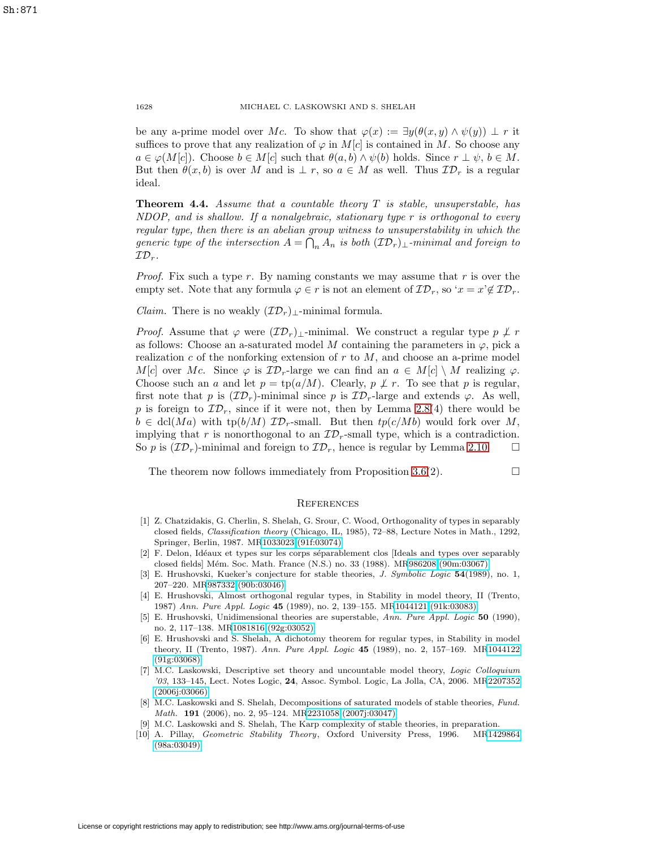be any a-prime model over Mc. To show that  $\varphi(x) := \exists y(\theta(x, y) \wedge \psi(y)) \perp r$  it suffices to prove that any realization of  $\varphi$  in  $M[c]$  is contained in M. So choose any  $a \in \varphi(M[c])$ . Choose  $b \in M[c]$  such that  $\theta(a, b) \wedge \psi(b)$  holds. Since  $r \perp \psi$ ,  $b \in M$ . But then  $\theta(x, b)$  is over M and is  $\perp r$ , so  $a \in M$  as well. Thus  $\mathcal{ID}_r$  is a regular ideal.

<span id="page-9-1"></span>**Theorem 4.4.** Assume that a countable theory T is stable, unsuperstable, has  $NDOP$ , and is shallow. If a nonalgebraic, stationary type  $r$  is orthogonal to every regular type, then there is an abelian group witness to unsuperstability in which the generic type of the intersection  $A = \bigcap_n A_n$  is both  $(\mathcal{ID}_r)_\perp$ -minimal and foreign to  $\mathcal{ID}_r$ .

*Proof.* Fix such a type r. By naming constants we may assume that r is over the empty set. Note that any formula  $\varphi \in r$  is not an element of  $\mathcal{ID}_r$ , so ' $x = x' \notin \mathcal{ID}_r$ .

*Claim.* There is no weakly  $(\mathcal{ID}_r)$ <sub>⊥</sub>-minimal formula.

*Proof.* Assume that  $\varphi$  were  $(\mathcal{ID}_r)_{\perp}$ -minimal. We construct a regular type  $p \not\perp r$ as follows: Choose an a-saturated model M containing the parameters in  $\varphi$ , pick a realization c of the nonforking extension of  $r$  to  $M$ , and choose an a-prime model M[c] over Mc. Since  $\varphi$  is  $\mathcal{ID}_r$ -large we can find an  $a \in M[c] \setminus M$  realizing  $\varphi$ . Choose such an a and let  $p = \text{tp}(a/M)$ . Clearly,  $p \not\perp r$ . To see that p is regular, first note that p is  $(\mathcal{ID}_r)$ -minimal since p is  $\mathcal{ID}_r$ -large and extends  $\varphi$ . As well, p is foreign to  $\mathcal{ID}_r$ , since if it were not, then by Lemma [2.8\(](#page-3-1)4) there would be  $b \in \text{dcl}(Ma)$  with  $\text{tp}(b/M)$   $\mathcal{ID}_r$ -small. But then  $tp(c/Mb)$  would fork over M, implying that r is nonorthogonal to an  $\mathcal{ID}_r$ -small type, which is a contradiction. So p is  $(\mathcal{ID}_r)$ -minimal and foreign to  $\mathcal{ID}_r$ , hence is regular by Lemma [2.10.](#page-3-2)  $\Box$ 

The theorem now follows immediately from Proposition  $3.6(2)$ .

#### **REFERENCES**

 $\Box$ 

- <span id="page-9-2"></span>[1] Z. Chatzidakis, G. Cherlin, S. Shelah, G. Srour, C. Wood, Orthogonality of types in separably closed fields, Classification theory (Chicago, IL, 1985), 72–88, Lecture Notes in Math., 1292, Springer, Berlin, 1987. M[R1033023 \(91f:03074\)](http://www.ams.org/mathscinet-getitem?mr=1033023)
- <span id="page-9-3"></span>[2] F. Delon, Idéaux et types sur les corps séparablement clos [Ideals and types over separably closed fields] M´em. Soc. Math. France (N.S.) no. 33 (1988). M[R986208 \(90m:03067\)](http://www.ams.org/mathscinet-getitem?mr=986208)
- <span id="page-9-4"></span>[3] E. Hrushovski, Kueker's conjecture for stable theories, J. Symbolic Logic **54**(1989), no. 1, 207–220. M[R987332 \(90b:03046\)](http://www.ams.org/mathscinet-getitem?mr=987332)
- <span id="page-9-8"></span>[4] E. Hrushovski, Almost orthogonal regular types, in Stability in model theory, II (Trento, 1987) Ann. Pure Appl. Logic **45** (1989), no. 2, 139–155. M[R1044121 \(91k:03083\)](http://www.ams.org/mathscinet-getitem?mr=1044121)
- <span id="page-9-9"></span>[5] E. Hrushovski, Unidimensional theories are superstable, Ann. Pure Appl. Logic **50** (1990), no. 2, 117–138. M[R1081816 \(92g:03052\)](http://www.ams.org/mathscinet-getitem?mr=1081816)
- <span id="page-9-7"></span>[6] E. Hrushovski and S. Shelah, A dichotomy theorem for regular types, in Stability in model theory, II (Trento, 1987). Ann. Pure Appl. Logic **45** (1989), no. 2, 157–169. M[R1044122](http://www.ams.org/mathscinet-getitem?mr=1044122) [\(91g:03068\)](http://www.ams.org/mathscinet-getitem?mr=1044122)
- [7] M.C. Laskowski, Descriptive set theory and uncountable model theory, Logic Colloquium '03, 133–145, Lect. Notes Logic, **24**, Assoc. Symbol. Logic, La Jolla, CA, 2006. M[R2207352](http://www.ams.org/mathscinet-getitem?mr=2207352) [\(2006j:03066\)](http://www.ams.org/mathscinet-getitem?mr=2207352)
- <span id="page-9-6"></span>[8] M.C. Laskowski and S. Shelah, Decompositions of saturated models of stable theories, Fund. Math. **191** (2006), no. 2, 95–124. M[R2231058 \(2007j:03047\)](http://www.ams.org/mathscinet-getitem?mr=2231058)
- [9] M.C. Laskowski and S. Shelah, The Karp complexity of stable theories, in preparation.
- <span id="page-9-5"></span><span id="page-9-0"></span>[10] A. Pillay, Geometric Stability Theory, Oxford University Press, 1996. M[R1429864](http://www.ams.org/mathscinet-getitem?mr=1429864) [\(98a:03049\)](http://www.ams.org/mathscinet-getitem?mr=1429864)